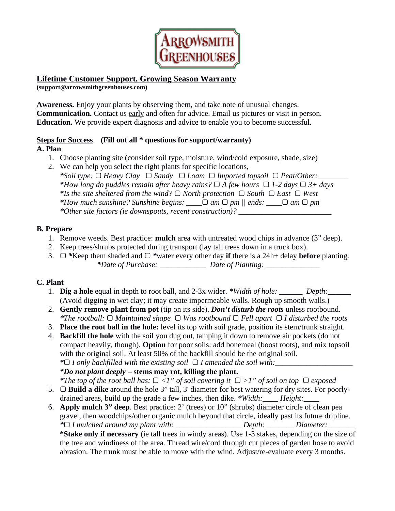

#### **Lifetime Customer Support, Growing Season Warranty (support@arrowsmithgreenhouses.com)**

**Awareness.** Enjoy your plants by observing them, and take note of unusual changes. **Communication.** Contact us early and often for advice. Email us pictures or visit in person. **Education.** We provide expert diagnosis and advice to enable you to become successful.

# **Steps for Success (Fill out all \* questions for support/warranty)**

**A. Plan**

- 1. Choose planting site (consider soil type, moisture, wind/cold exposure, shade, size)
- 2. We can help you select the right plants for specific locations, *\*Soil type:* ▢ *Heavy Clay* ▢ *Sandy* ▢ *Loam* ▢ *Imported topsoil* ▢ *Peat/Other:\_\_\_\_\_\_\_\_ \*How long do puddles remain after heavy rains?* ▢ *A few hours* ▢ *1-2 days* ▢ *3+ days \*Is the site sheltered from the wind?* ▢ *North protection* ▢ *South* ▢ *East* ▢ *West \*How much sunshine? Sunshine begins: \_\_\_\_*▢ *am* ▢ *pm || ends: \_\_\_\_*▢ *am* ▢ *pm \*Other site factors (ie downspouts, recent construction)? \_\_\_\_\_\_\_\_\_\_\_\_\_\_\_\_\_\_\_\_\_\_\_\_*

# **B. Prepare**

- 1. Remove weeds. Best practice: **mulch** area with untreated wood chips in advance (3" deep).
- 2. Keep trees/shrubs protected during transport (lay tall trees down in a truck box).
- 3. ▢ *\**Keep them shaded and ▢ *\**water every other day **if** there is a 24h+ delay **before** planting. *\*Date of Purchase: \_\_\_\_\_\_\_\_\_\_\_\_ Date of Planting: \_\_\_\_\_\_\_\_\_\_\_\_\_\_*

# **C. Plant**

- 1. **Dig a hole** equal in depth to root ball, and 2-3x wider. *\*Width of hole: \_\_\_\_\_\_ Depth:\_\_\_\_\_\_* (Avoid digging in wet clay; it may create impermeable walls. Rough up smooth walls.)
- 2. **Gently remove plant from pot** (tip on its side). *Don't disturb the roots* unless rootbound. *\*The rootball:* ▢ *Maintained shape* ▢ *Was rootbound* ▢ *Fell apart* ▢ *I disturbed the roots*
- 3. **Place the root ball in the hole:** level its top with soil grade, position its stem/trunk straight.
- 4. **Backfill the hole** with the soil you dug out, tamping it down to remove air pockets (do not compact heavily, though). **Option** for poor soils: add bonemeal (boost roots), and mix topsoil with the original soil. At least 50% of the backfill should be the original soil. *\**▢ *I only backfilled with the existing soil* ▢ *I amended the soil with:\_\_\_\_\_\_\_\_\_\_\_\_\_\_\_\_\_\_\_\_*

*\*Do not plant deeply* – **stems may rot, killing the plant.**

*\*The top of the root ball has:* ▢ *<1" of soil covering it* ▢ *>1" of soil on top* ▢ *exposed*

- 5. ▢ **Build a dike** around the hole 3" tall, 3' diameter for best watering for dry sites. For poorlydrained areas, build up the grade a few inches, then dike. *\*Width:\_\_\_\_ Height:\_\_\_\_*
- 6. **Apply mulch 3" deep**. Best practice: 2' (trees) or 10" (shrubs) diameter circle of clean pea gravel, then woodchips/other organic mulch beyond that circle, ideally past its future dripline. *\**▢ *I mulched around my plant with: \_\_\_\_\_\_\_\_\_\_\_\_\_\_\_\_\_ Depth: \_\_\_\_\_\_\_ Diameter:\_\_\_\_\_\_\_* **\*Stake only if necessary** (ie tall trees in windy areas). Use 1-3 stakes, depending on the size of the tree and windiness of the area. Thread wire/cord through cut pieces of garden hose to avoid

abrasion. The trunk must be able to move with the wind. Adjust/re-evaluate every 3 months.